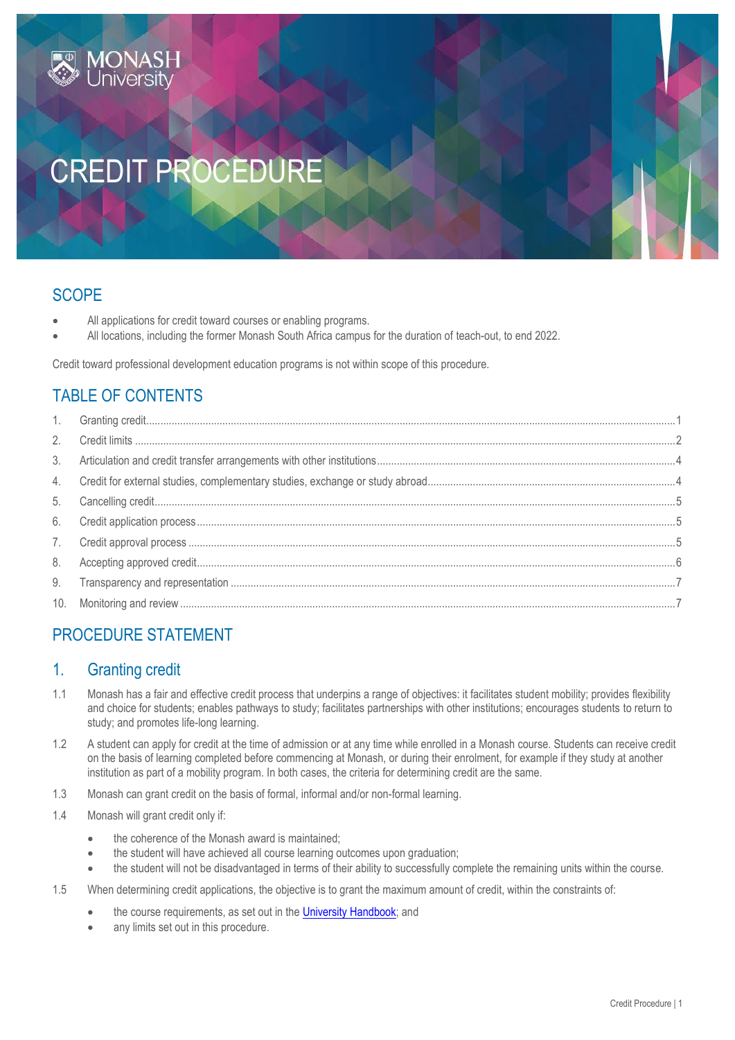# CREDIT PROCEDURE

# **SCOPE**

- All applications for credit toward courses or enabling programs.
- All locations, including the former Monash South Africa campus for the duration of teach-out, to end 2022.

Credit toward professional development education programs is not within scope of this procedure.

# TABLE OF CONTENTS

IONAS

# PROCEDURE STATEMENT

# <span id="page-0-0"></span>1. Granting credit

- 1.1 Monash has a fair and effective credit process that underpins a range of objectives: it facilitates student mobility; provides flexibility and choice for students; enables pathways to study; facilitates partnerships with other institutions; encourages students to return to study; and promotes life-long learning.
- 1.2 A student can apply for credit at the time of admission or at any time while enrolled in a Monash course. Students can receive credit on the basis of learning completed before commencing at Monash, or during their enrolment, for example if they study at another institution as part of a mobility program. In both cases, the criteria for determining credit are the same.
- 1.3 Monash can grant credit on the basis of formal, informal and/or non-formal learning.
- 1.4 Monash will grant credit only if:
	- the coherence of the Monash award is maintained;
	- the student will have achieved all course learning outcomes upon graduation;
	- the student will not be disadvantaged in terms of their ability to successfully complete the remaining units within the course.
- 1.5 When determining credit applications, the objective is to grant the maximum amount of credit, within the constraints of:
	- the course requirements, as set out in the [University Handbook;](https://handbook.monash.edu/) and
	- any limits set out in this procedure.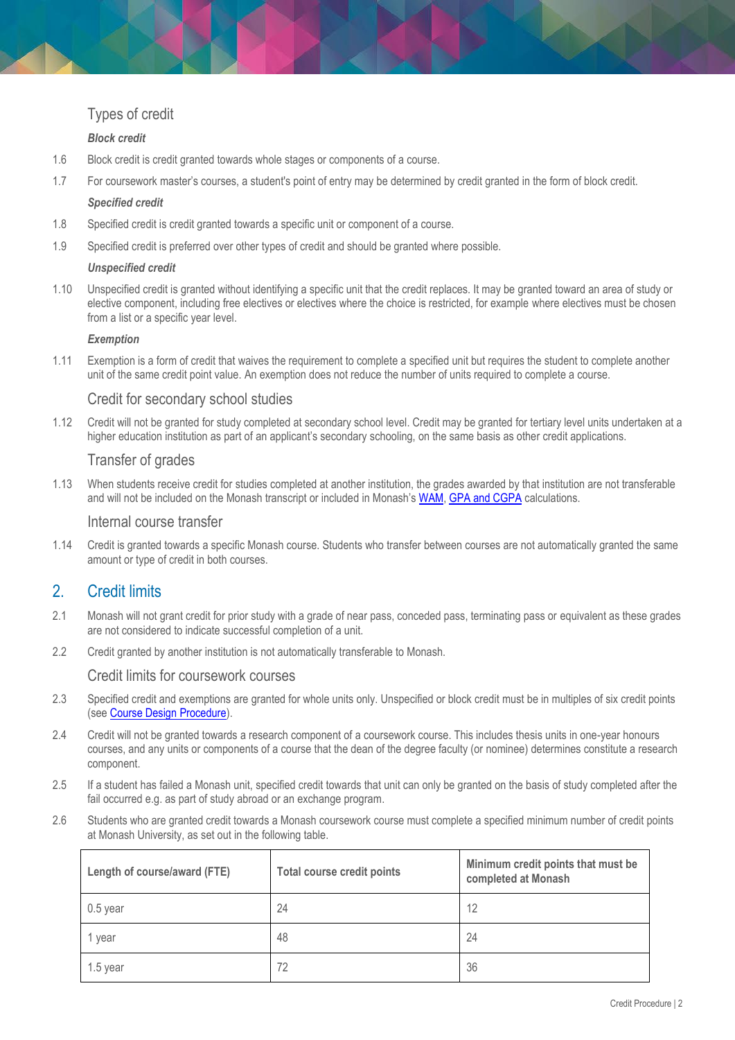## Types of credit

#### *Block credit*

- 1.6 Block credit is credit granted towards whole stages or components of a course.
- 1.7 For coursework master's courses, a student's point of entry may be determined by credit granted in the form of block credit.

#### *Specified credit*

- 1.8 Specified credit is credit granted towards a specific unit or component of a course.
- 1.9 Specified credit is preferred over other types of credit and should be granted where possible.

#### *Unspecified credit*

1.10 Unspecified credit is granted without identifying a specific unit that the credit replaces. It may be granted toward an area of study or elective component, including free electives or electives where the choice is restricted, for example where electives must be chosen from a list or a specific year level.

#### *Exemption*

1.11 Exemption is a form of credit that waives the requirement to complete a specified unit but requires the student to complete another unit of the same credit point value. An exemption does not reduce the number of units required to complete a course.

#### Credit for secondary school studies

1.12 Credit will not be granted for study completed at secondary school level. Credit may be granted for tertiary level units undertaken at a higher education institution as part of an applicant's secondary schooling, on the same basis as other credit applications.

#### Transfer of grades

1.13 When students receive credit for studies completed at another institution, the grades awarded by that institution are not transferable and will not be included on the Monash transcript or included in Monash's [WAM,](https://www.monash.edu/students/admin/exams/results/wam) GPA [and CGPA](https://www.monash.edu/students/admin/exams/results/gpa) calculations.

#### Internal course transfer

1.14 Credit is granted towards a specific Monash course. Students who transfer between courses are not automatically granted the same amount or type of credit in both courses.

# <span id="page-1-0"></span>2. Credit limits

- 2.1 Monash will not grant credit for prior study with a grade of near pass, conceded pass, terminating pass or equivalent as these grades are not considered to indicate successful completion of a unit.
- 2.2 Credit granted by another institution is not automatically transferable to Monash.

#### Credit limits for coursework courses

- 2.3 Specified credit and exemptions are granted for whole units only. Unspecified or block credit must be in multiples of six credit points (see [Course Design Procedure\)](https://publicpolicydms.monash.edu/Monash/documents/1935765).
- 2.4 Credit will not be granted towards a research component of a coursework course. This includes thesis units in one-year honours courses, and any units or components of a course that the dean of the degree faculty (or nominee) determines constitute a research component.
- 2.5 If a student has failed a Monash unit, specified credit towards that unit can only be granted on the basis of study completed after the fail occurred e.g. as part of study abroad or an exchange program.
- 2.6 Students who are granted credit towards a Monash coursework course must complete a specified minimum number of credit points at Monash University, as set out in the following table.

| Length of course/award (FTE) | Total course credit points | Minimum credit points that must be<br>completed at Monash |
|------------------------------|----------------------------|-----------------------------------------------------------|
| $0.5$ year                   | 24                         | 12                                                        |
| 1 year                       | 48                         | 24                                                        |
| $1.5$ year                   | 72                         | 36                                                        |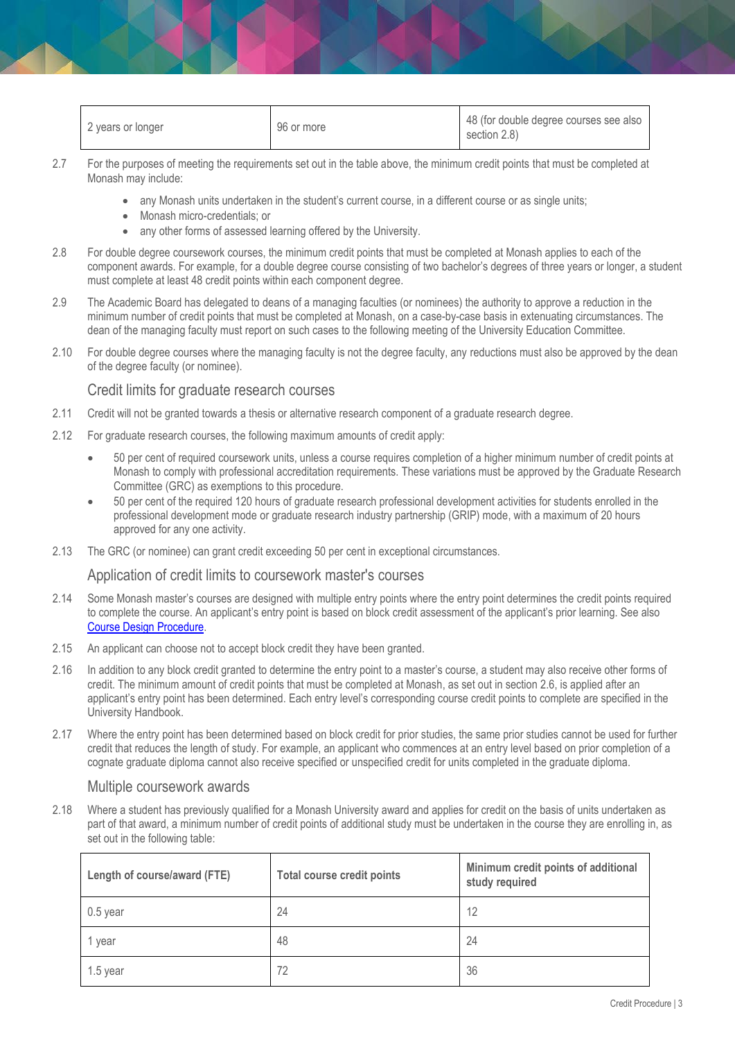| 2 years or longer | 96 or more | 48 (for double degree courses see also<br>section 2.8) |
|-------------------|------------|--------------------------------------------------------|
|-------------------|------------|--------------------------------------------------------|

- 2.7 For the purposes of meeting the requirements set out in the table above, the minimum credit points that must be completed at Monash may include:
	- any Monash units undertaken in the student's current course, in a different course or as single units;
	- Monash micro-credentials; or
	- any other forms of assessed learning offered by the University.
- 2.8 For double degree coursework courses, the minimum credit points that must be completed at Monash applies to each of the component awards. For example, for a double degree course consisting of two bachelor's degrees of three years or longer, a student must complete at least 48 credit points within each component degree.
- 2.9 The Academic Board has delegated to deans of a managing faculties (or nominees) the authority to approve a reduction in the minimum number of credit points that must be completed at Monash, on a case-by-case basis in extenuating circumstances. The dean of the managing faculty must report on such cases to the following meeting of the University Education Committee.
- 2.10 For double degree courses where the managing faculty is not the degree faculty, any reductions must also be approved by the dean of the degree faculty (or nominee).

#### Credit limits for graduate research courses

- 2.11 Credit will not be granted towards a thesis or alternative research component of a graduate research degree.
- 2.12 For graduate research courses, the following maximum amounts of credit apply:
	- 50 per cent of required coursework units, unless a course requires completion of a higher minimum number of credit points at Monash to comply with professional accreditation requirements. These variations must be approved by the Graduate Research Committee (GRC) as exemptions to this procedure.
	- 50 per cent of the required 120 hours of graduate research professional development activities for students enrolled in the professional development mode or graduate research industry partnership (GRIP) mode, with a maximum of 20 hours approved for any one activity.
- 2.13 The GRC (or nominee) can grant credit exceeding 50 per cent in exceptional circumstances.

#### Application of credit limits to coursework master's courses

- 2.14 Some Monash master's courses are designed with multiple entry points where the entry point determines the credit points required to complete the course. An applicant's entry point is based on block credit assessment of the applicant's prior learning. See also [Course Design Procedure.](https://publicpolicydms.monash.edu/Monash/documents/1935765)
- 2.15 An applicant can choose not to accept block credit they have been granted.
- 2.16 In addition to any block credit granted to determine the entry point to a master's course, a student may also receive other forms of credit. The minimum amount of credit points that must be completed at Monash, as set out in section 2.6, is applied after an applicant's entry point has been determined. Each entry level's corresponding course credit points to complete are specified in the University Handbook.
- 2.17 Where the entry point has been determined based on block credit for prior studies, the same prior studies cannot be used for further credit that reduces the length of study. For example, an applicant who commences at an entry level based on prior completion of a cognate graduate diploma cannot also receive specified or unspecified credit for units completed in the graduate diploma.

#### Multiple coursework awards

2.18 Where a student has previously qualified for a Monash University award and applies for credit on the basis of units undertaken as part of that award, a minimum number of credit points of additional study must be undertaken in the course they are enrolling in, as set out in the following table:

| Length of course/award (FTE) | <b>Total course credit points</b> | Minimum credit points of additional<br>study required |
|------------------------------|-----------------------------------|-------------------------------------------------------|
| $0.5$ year                   | 24                                | 12                                                    |
| 1 year                       | 48                                | 24                                                    |
| 1.5 year                     | 72                                | 36                                                    |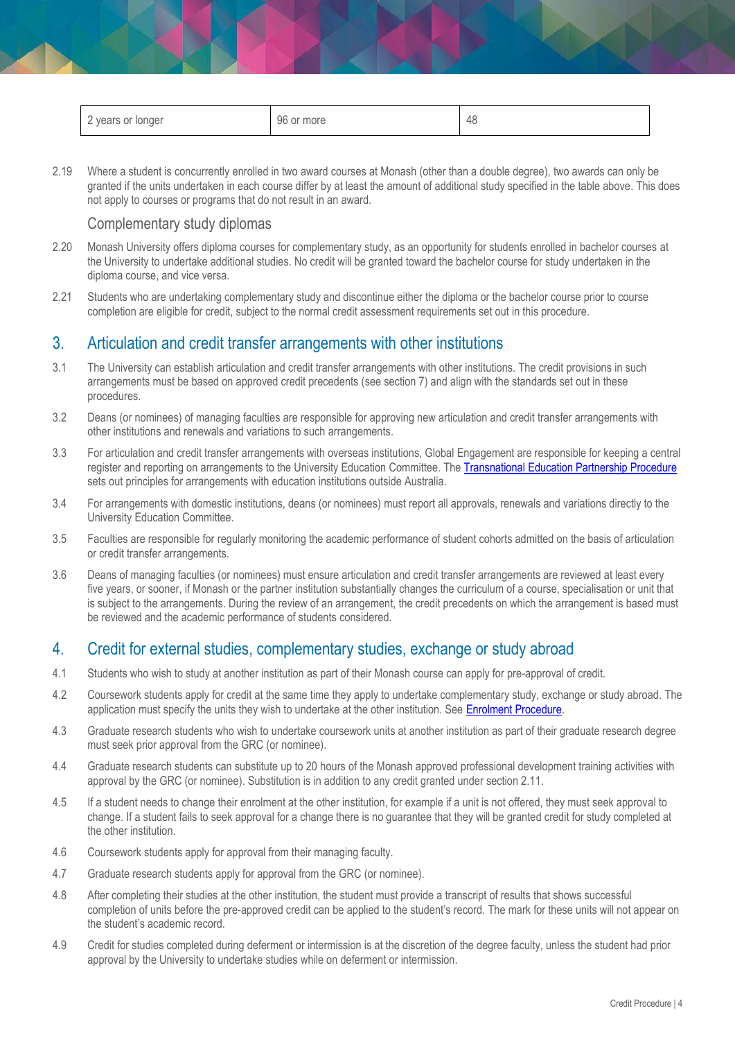| years or longer<br>∼ | 96 or more | r<br>-4Ն |
|----------------------|------------|----------|
|----------------------|------------|----------|

2.19 Where a student is concurrently enrolled in two award courses at Monash (other than a double degree), two awards can only be granted if the units undertaken in each course differ by at least the amount of additional study specified in the table above. This does not apply to courses or programs that do not result in an award.

#### Complementary study diplomas

- 2.20 Monash University offers diploma courses for complementary study, as an opportunity for students enrolled in bachelor courses at the University to undertake additional studies. No credit will be granted toward the bachelor course for study undertaken in the diploma course, and vice versa.
- 2.21 Students who are undertaking complementary study and discontinue either the diploma or the bachelor course prior to course completion are eligible for credit, subject to the normal credit assessment requirements set out in this procedure.

### <span id="page-3-0"></span>3. Articulation and credit transfer arrangements with other institutions

- 3.1 The University can establish articulation and credit transfer arrangements with other institutions. The credit provisions in such arrangements must be based on approved credit precedents (see section 7) and align with the standards set out in these procedures.
- 3.2 Deans (or nominees) of managing faculties are responsible for approving new articulation and credit transfer arrangements with other institutions and renewals and variations to such arrangements.
- 3.3 For articulation and credit transfer arrangements with overseas institutions, Global Engagement are responsible for keeping a central register and reporting on arrangements to the University Education Committee. The [Transnational Education Partnership Procedure](https://publicpolicydms.monash.edu/Monash/documents/1935803) sets out principles for arrangements with education institutions outside Australia.
- 3.4 For arrangements with domestic institutions, deans (or nominees) must report all approvals, renewals and variations directly to the University Education Committee.
- 3.5 Faculties are responsible for regularly monitoring the academic performance of student cohorts admitted on the basis of articulation or credit transfer arrangements.
- 3.6 Deans of managing faculties (or nominees) must ensure articulation and credit transfer arrangements are reviewed at least every five years, or sooner, if Monash or the partner institution substantially changes the curriculum of a course, specialisation or unit that is subject to the arrangements. During the review of an arrangement, the credit precedents on which the arrangement is based must be reviewed and the academic performance of students considered.

## <span id="page-3-1"></span>4. Credit for external studies, complementary studies, exchange or study abroad

- 4.1 Students who wish to study at another institution as part of their Monash course can apply for pre-approval of credit.
- 4.2 Coursework students apply for credit at the same time they apply to undertake complementary study, exchange or study abroad. The application must specify the units they wish to undertake at the other institution. Se[e Enrolment Procedure.](https://publicpolicydms.monash.edu/Monash/documents/1935771)
- 4.3 Graduate research students who wish to undertake coursework units at another institution as part of their graduate research degree must seek prior approval from the GRC (or nominee).
- 4.4 Graduate research students can substitute up to 20 hours of the Monash approved professional development training activities with approval by the GRC (or nominee). Substitution is in addition to any credit granted under section 2.11.
- 4.5 If a student needs to change their enrolment at the other institution, for example if a unit is not offered, they must seek approval to change. If a student fails to seek approval for a change there is no guarantee that they will be granted credit for study completed at the other institution.
- 4.6 Coursework students apply for approval from their managing faculty.
- 4.7 Graduate research students apply for approval from the GRC (or nominee).
- 4.8 After completing their studies at the other institution, the student must provide a transcript of results that shows successful completion of units before the pre-approved credit can be applied to the student's record. The mark for these units will not appear on the student's academic record.
- 4.9 Credit for studies completed during deferment or intermission is at the discretion of the degree faculty, unless the student had prior approval by the University to undertake studies while on deferment or intermission.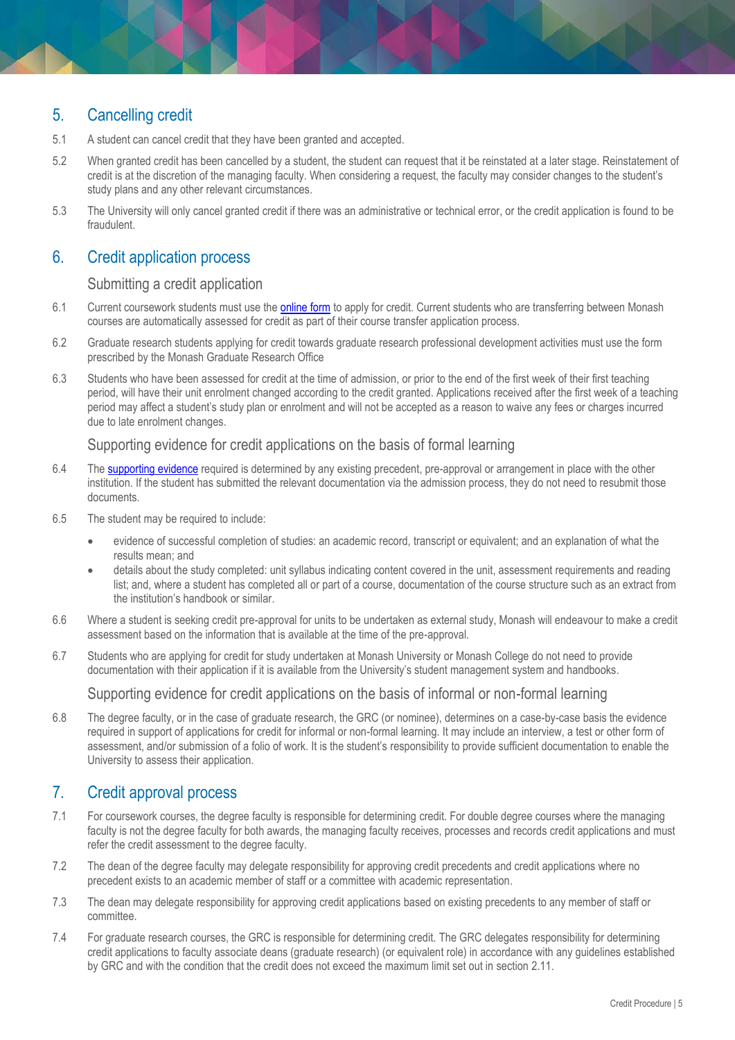# <span id="page-4-0"></span>5. Cancelling credit

- 5.1 A student can cancel credit that they have been granted and accepted.
- 5.2 When granted credit has been cancelled by a student, the student can request that it be reinstated at a later stage. Reinstatement of credit is at the discretion of the managing faculty. When considering a request, the faculty may consider changes to the student's study plans and any other relevant circumstances.
- 5.3 The University will only cancel granted credit if there was an administrative or technical error, or the credit application is found to be fraudulent.

## <span id="page-4-1"></span>6. Credit application process

#### Submitting a credit application

- 6.1 Current coursework students must use the [online form](https://online-credits.monash.edu/login?next=%2F) to apply for credit. Current students who are transferring between Monash courses are automatically assessed for credit as part of their course transfer application process.
- 6.2 Graduate research students applying for credit towards graduate research professional development activities must use the form prescribed by the Monash Graduate Research Office
- 6.3 Students who have been assessed for credit at the time of admission, or prior to the end of the first week of their first teaching period, will have their unit enrolment changed according to the credit granted. Applications received after the first week of a teaching period may affect a student's study plan or enrolment and will not be accepted as a reason to waive any fees or charges incurred due to late enrolment changes.

#### Supporting evidence for credit applications on the basis of formal learning

- 6.4 Th[e supporting evidence](https://www.monash.edu/admissions/credit) required is determined by any existing precedent, pre-approval or arrangement in place with the other institution. If the student has submitted the relevant documentation via the admission process, they do not need to resubmit those documents.
- 6.5 The student may be required to include:
	- evidence of successful completion of studies: an academic record, transcript or equivalent; and an explanation of what the results mean; and
	- details about the study completed: unit syllabus indicating content covered in the unit, assessment requirements and reading list; and, where a student has completed all or part of a course, documentation of the course structure such as an extract from the institution's handbook or similar.
- 6.6 Where a student is seeking credit pre-approval for units to be undertaken as external study, Monash will endeavour to make a credit assessment based on the information that is available at the time of the pre-approval.
- 6.7 Students who are applying for credit for study undertaken at Monash University or Monash College do not need to provide documentation with their application if it is available from the University's student management system and handbooks.

Supporting evidence for credit applications on the basis of informal or non-formal learning

6.8 The degree faculty, or in the case of graduate research, the GRC (or nominee), determines on a case-by-case basis the evidence required in support of applications for credit for informal or non-formal learning. It may include an interview, a test or other form of assessment, and/or submission of a folio of work. It is the student's responsibility to provide sufficient documentation to enable the University to assess their application.

# <span id="page-4-2"></span>7. Credit approval process

- 7.1 For coursework courses, the degree faculty is responsible for determining credit. For double degree courses where the managing faculty is not the degree faculty for both awards, the managing faculty receives, processes and records credit applications and must refer the credit assessment to the degree faculty.
- 7.2 The dean of the degree faculty may delegate responsibility for approving credit precedents and credit applications where no precedent exists to an academic member of staff or a committee with academic representation.
- 7.3 The dean may delegate responsibility for approving credit applications based on existing precedents to any member of staff or committee.
- 7.4 For graduate research courses, the GRC is responsible for determining credit. The GRC delegates responsibility for determining credit applications to faculty associate deans (graduate research) (or equivalent role) in accordance with any guidelines established by GRC and with the condition that the credit does not exceed the maximum limit set out in section 2.11.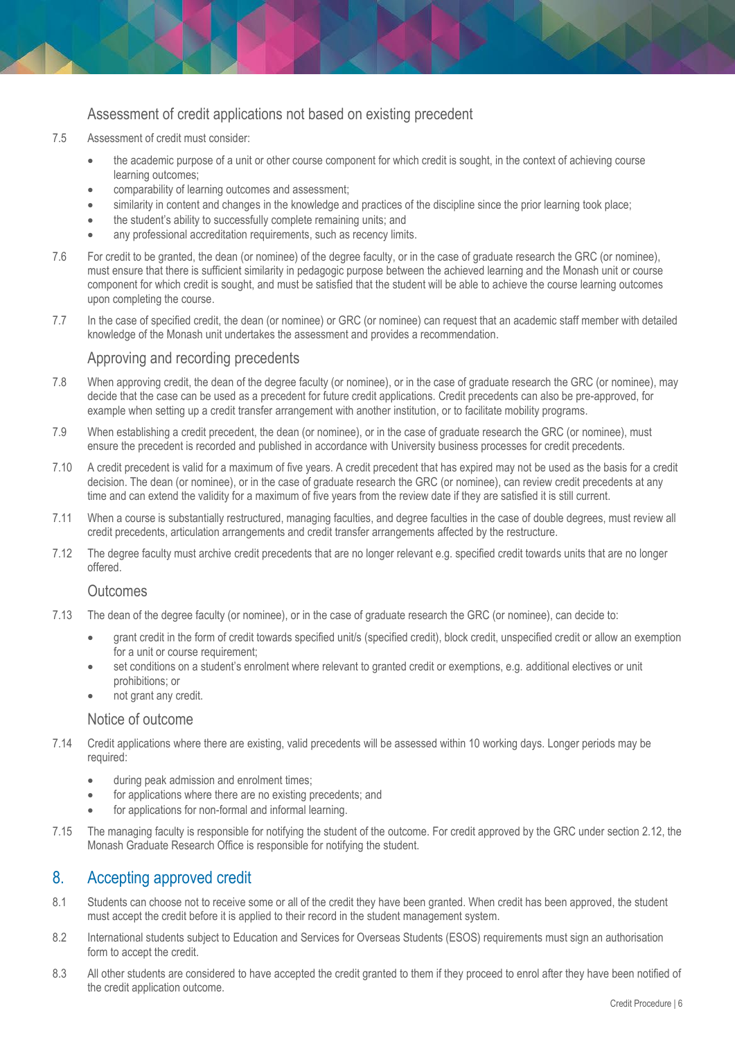## Assessment of credit applications not based on existing precedent

- 7.5 Assessment of credit must consider:
	- the academic purpose of a unit or other course component for which credit is sought, in the context of achieving course learning outcomes;
	- comparability of learning outcomes and assessment;
	- similarity in content and changes in the knowledge and practices of the discipline since the prior learning took place;
	- the student's ability to successfully complete remaining units; and
	- any professional accreditation requirements, such as recency limits.
- 7.6 For credit to be granted, the dean (or nominee) of the degree faculty, or in the case of graduate research the GRC (or nominee), must ensure that there is sufficient similarity in pedagogic purpose between the achieved learning and the Monash unit or course component for which credit is sought, and must be satisfied that the student will be able to achieve the course learning outcomes upon completing the course.
- 7.7 In the case of specified credit, the dean (or nominee) or GRC (or nominee) can request that an academic staff member with detailed knowledge of the Monash unit undertakes the assessment and provides a recommendation.

#### Approving and recording precedents

- 7.8 When approving credit, the dean of the degree faculty (or nominee), or in the case of graduate research the GRC (or nominee), may decide that the case can be used as a precedent for future credit applications. Credit precedents can also be pre-approved, for example when setting up a credit transfer arrangement with another institution, or to facilitate mobility programs.
- 7.9 When establishing a credit precedent, the dean (or nominee), or in the case of graduate research the GRC (or nominee), must ensure the precedent is recorded and published in accordance with University business processes for credit precedents.
- 7.10 A credit precedent is valid for a maximum of five years. A credit precedent that has expired may not be used as the basis for a credit decision. The dean (or nominee), or in the case of graduate research the GRC (or nominee), can review credit precedents at any time and can extend the validity for a maximum of five years from the review date if they are satisfied it is still current.
- 7.11 When a course is substantially restructured, managing faculties, and degree faculties in the case of double degrees, must review all credit precedents, articulation arrangements and credit transfer arrangements affected by the restructure.
- 7.12 The degree faculty must archive credit precedents that are no longer relevant e.g. specified credit towards units that are no longer offered.

#### **Outcomes**

- 7.13 The dean of the degree faculty (or nominee), or in the case of graduate research the GRC (or nominee), can decide to:
	- grant credit in the form of credit towards specified unit/s (specified credit), block credit, unspecified credit or allow an exemption for a unit or course requirement;
	- set conditions on a student's enrolment where relevant to granted credit or exemptions, e.g. additional electives or unit prohibitions; or
	- not grant any credit.

#### Notice of outcome

- 7.14 Credit applications where there are existing, valid precedents will be assessed within 10 working days. Longer periods may be required:
	- during peak admission and enrolment times;
	- for applications where there are no existing precedents; and
	- for applications for non-formal and informal learning.
- 7.15 The managing faculty is responsible for notifying the student of the outcome. For credit approved by the GRC under section 2.12, the Monash Graduate Research Office is responsible for notifying the student.

## <span id="page-5-0"></span>8. Accepting approved credit

- 8.1 Students can choose not to receive some or all of the credit they have been granted. When credit has been approved, the student must accept the credit before it is applied to their record in the student management system.
- 8.2 International students subject to Education and Services for Overseas Students (ESOS) requirements must sign an authorisation form to accept the credit.
- 8.3 All other students are considered to have accepted the credit granted to them if they proceed to enrol after they have been notified of the credit application outcome.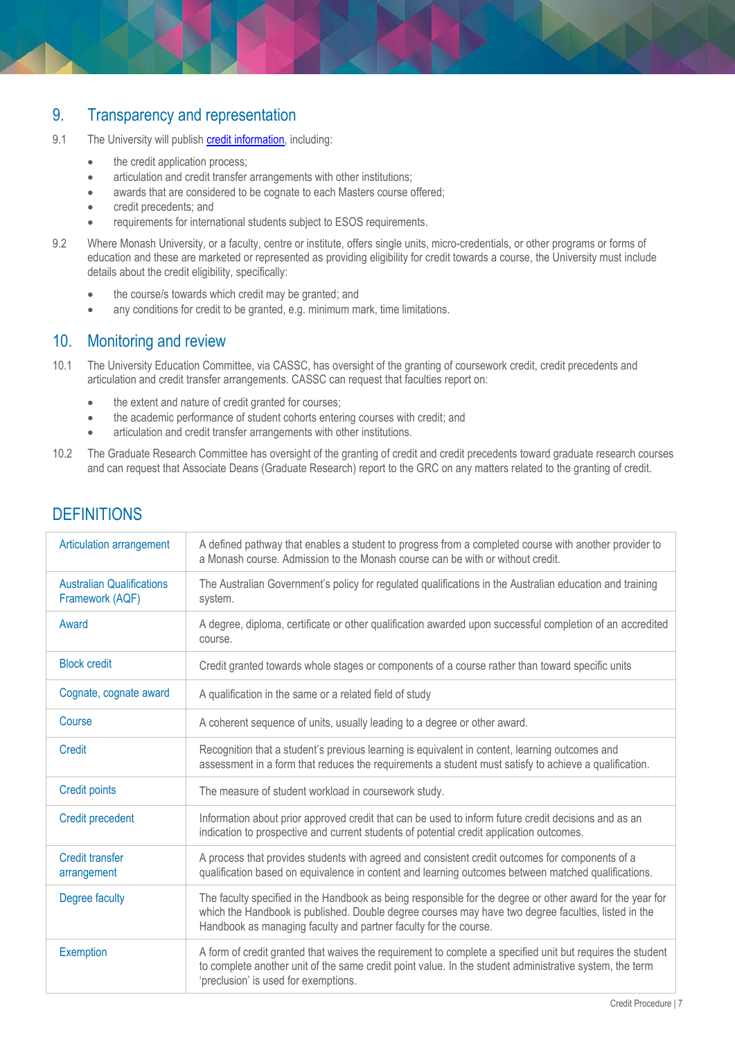# <span id="page-6-0"></span>9. Transparency and representation

- 9.1 The University will publish **credit information**, including:
	- the credit application process;
	- articulation and credit transfer arrangements with other institutions;
	- awards that are considered to be cognate to each Masters course offered;
	- credit precedents; and
	- requirements for international students subject to ESOS requirements.
- 9.2 Where Monash University, or a faculty, centre or institute, offers single units, micro-credentials, or other programs or forms of education and these are marketed or represented as providing eligibility for credit towards a course, the University must include details about the credit eligibility, specifically:
	- the course/s towards which credit may be granted; and
	- any conditions for credit to be granted, e.g. minimum mark, time limitations.

# <span id="page-6-1"></span>10. Monitoring and review

- 10.1 The University Education Committee, via CASSC, has oversight of the granting of coursework credit, credit precedents and articulation and credit transfer arrangements. CASSC can request that faculties report on:
	- the extent and nature of credit granted for courses;
	- the academic performance of student cohorts entering courses with credit; and
	- articulation and credit transfer arrangements with other institutions.
- 10.2 The Graduate Research Committee has oversight of the granting of credit and credit precedents toward graduate research courses and can request that Associate Deans (Graduate Research) report to the GRC on any matters related to the granting of credit.

| Articulation arrangement                            | A defined pathway that enables a student to progress from a completed course with another provider to<br>a Monash course. Admission to the Monash course can be with or without credit.                                                                                              |
|-----------------------------------------------------|--------------------------------------------------------------------------------------------------------------------------------------------------------------------------------------------------------------------------------------------------------------------------------------|
| <b>Australian Qualifications</b><br>Framework (AQF) | The Australian Government's policy for regulated qualifications in the Australian education and training<br>system.                                                                                                                                                                  |
| Award                                               | A degree, diploma, certificate or other qualification awarded upon successful completion of an accredited<br>course.                                                                                                                                                                 |
| <b>Block credit</b>                                 | Credit granted towards whole stages or components of a course rather than toward specific units                                                                                                                                                                                      |
| Cognate, cognate award                              | A qualification in the same or a related field of study                                                                                                                                                                                                                              |
| Course                                              | A coherent sequence of units, usually leading to a degree or other award.                                                                                                                                                                                                            |
| Credit                                              | Recognition that a student's previous learning is equivalent in content, learning outcomes and<br>assessment in a form that reduces the requirements a student must satisfy to achieve a qualification.                                                                              |
| <b>Credit points</b>                                | The measure of student workload in coursework study.                                                                                                                                                                                                                                 |
| <b>Credit precedent</b>                             | Information about prior approved credit that can be used to inform future credit decisions and as an<br>indication to prospective and current students of potential credit application outcomes.                                                                                     |
| <b>Credit transfer</b><br>arrangement               | A process that provides students with agreed and consistent credit outcomes for components of a<br>qualification based on equivalence in content and learning outcomes between matched qualifications.                                                                               |
| Degree faculty                                      | The faculty specified in the Handbook as being responsible for the degree or other award for the year for<br>which the Handbook is published. Double degree courses may have two degree faculties, listed in the<br>Handbook as managing faculty and partner faculty for the course. |
| <b>Exemption</b>                                    | A form of credit granted that waives the requirement to complete a specified unit but requires the student<br>to complete another unit of the same credit point value. In the student administrative system, the term<br>'preclusion' is used for exemptions.                        |

# **DEFINITIONS**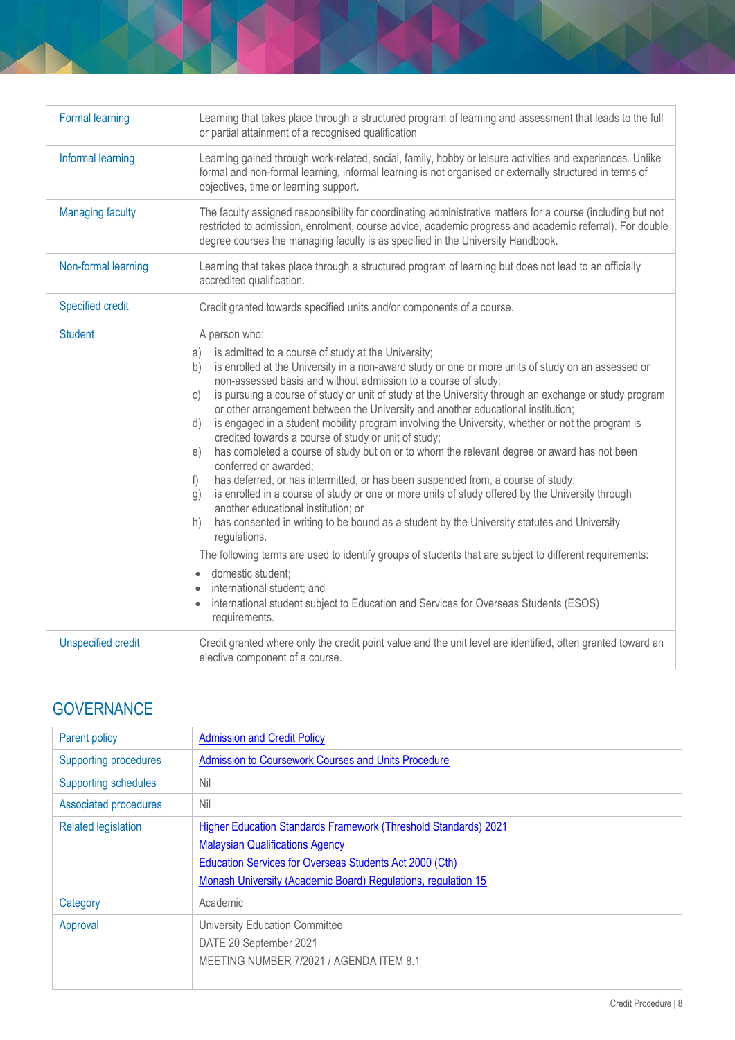| <b>Formal learning</b>    | Learning that takes place through a structured program of learning and assessment that leads to the full<br>or partial attainment of a recognised qualification                                                                                                                                                                                                                                                                                                                                                                                                                                                                                                                                                                                                                                                                                                                                                                                                                                                                                                                                                             |
|---------------------------|-----------------------------------------------------------------------------------------------------------------------------------------------------------------------------------------------------------------------------------------------------------------------------------------------------------------------------------------------------------------------------------------------------------------------------------------------------------------------------------------------------------------------------------------------------------------------------------------------------------------------------------------------------------------------------------------------------------------------------------------------------------------------------------------------------------------------------------------------------------------------------------------------------------------------------------------------------------------------------------------------------------------------------------------------------------------------------------------------------------------------------|
| Informal learning         | Learning gained through work-related, social, family, hobby or leisure activities and experiences. Unlike<br>formal and non-formal learning, informal learning is not organised or externally structured in terms of<br>objectives, time or learning support.                                                                                                                                                                                                                                                                                                                                                                                                                                                                                                                                                                                                                                                                                                                                                                                                                                                               |
| <b>Managing faculty</b>   | The faculty assigned responsibility for coordinating administrative matters for a course (including but not<br>restricted to admission, enrolment, course advice, academic progress and academic referral). For double<br>degree courses the managing faculty is as specified in the University Handbook.                                                                                                                                                                                                                                                                                                                                                                                                                                                                                                                                                                                                                                                                                                                                                                                                                   |
| Non-formal learning       | Learning that takes place through a structured program of learning but does not lead to an officially<br>accredited qualification.                                                                                                                                                                                                                                                                                                                                                                                                                                                                                                                                                                                                                                                                                                                                                                                                                                                                                                                                                                                          |
| <b>Specified credit</b>   | Credit granted towards specified units and/or components of a course.                                                                                                                                                                                                                                                                                                                                                                                                                                                                                                                                                                                                                                                                                                                                                                                                                                                                                                                                                                                                                                                       |
| <b>Student</b>            | A person who:<br>is admitted to a course of study at the University;<br>a)<br>is enrolled at the University in a non-award study or one or more units of study on an assessed or<br>b)<br>non-assessed basis and without admission to a course of study;<br>is pursuing a course of study or unit of study at the University through an exchange or study program<br>C)<br>or other arrangement between the University and another educational institution;<br>is engaged in a student mobility program involving the University, whether or not the program is<br>d)<br>credited towards a course of study or unit of study;<br>has completed a course of study but on or to whom the relevant degree or award has not been<br>e)<br>conferred or awarded;<br>has deferred, or has intermitted, or has been suspended from, a course of study;<br>f)<br>is enrolled in a course of study or one or more units of study offered by the University through<br>g)<br>another educational institution; or<br>has consented in writing to be bound as a student by the University statutes and University<br>h)<br>regulations. |
|                           | The following terms are used to identify groups of students that are subject to different requirements:<br>· domestic student;<br>international student; and<br>international student subject to Education and Services for Overseas Students (ESOS)<br>requirements.                                                                                                                                                                                                                                                                                                                                                                                                                                                                                                                                                                                                                                                                                                                                                                                                                                                       |
| <b>Unspecified credit</b> | Credit granted where only the credit point value and the unit level are identified, often granted toward an<br>elective component of a course.                                                                                                                                                                                                                                                                                                                                                                                                                                                                                                                                                                                                                                                                                                                                                                                                                                                                                                                                                                              |

# **GOVERNANCE**

| <b>Parent policy</b>         | <b>Admission and Credit Policy</b>                                                                                                                                                                                                    |
|------------------------------|---------------------------------------------------------------------------------------------------------------------------------------------------------------------------------------------------------------------------------------|
| <b>Supporting procedures</b> | <b>Admission to Coursework Courses and Units Procedure</b>                                                                                                                                                                            |
| <b>Supporting schedules</b>  | Nil                                                                                                                                                                                                                                   |
| Associated procedures        | Nil                                                                                                                                                                                                                                   |
| <b>Related legislation</b>   | Higher Education Standards Framework (Threshold Standards) 2021<br><b>Malaysian Qualifications Agency</b><br>Education Services for Overseas Students Act 2000 (Cth)<br>Monash University (Academic Board) Regulations, regulation 15 |
| Category                     | Academic                                                                                                                                                                                                                              |
| Approval                     | <b>University Education Committee</b><br>DATE 20 September 2021<br>MEETING NUMBER 7/2021 / AGENDA ITEM 8.1                                                                                                                            |